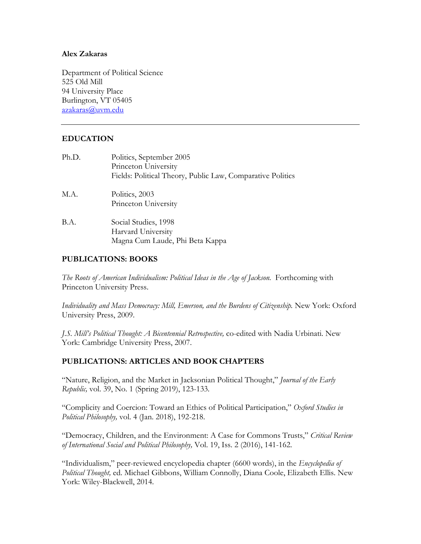#### **Alex Zakaras**

 525 Old Mill Department of Political Science 94 University Place Burlington, VT 05405 azakaras@uvm.edu

## **EDUCATION**

| Ph.D. | Politics, September 2005<br>Princeton University           |
|-------|------------------------------------------------------------|
|       | Fields: Political Theory, Public Law, Comparative Politics |
| M.A.  | Politics, 2003                                             |
|       | Princeton University                                       |
| B.A.  | Social Studies, 1998                                       |
|       | Harvard University                                         |
|       | Magna Cum Laude, Phi Beta Kappa                            |

## **PUBLICATIONS: BOOKS**

The Roots of American Individualism: Political Ideas in the Age of Jackson. Forthcoming with Princeton University Press.

*Individuality and Mass Democracy: Mill, Emerson, and the Burdens of Citizenship.* New York: Oxford University Press, 2009.

*J.S. Mill's Political Thought: A Bicentennial Retrospective,* co-edited with Nadia Urbinati. New York: Cambridge University Press, 2007.

### **PUBLICATIONS: ARTICLES AND BOOK CHAPTERS**

"Nature, Religion, and the Market in Jacksonian Political Thought," *Journal of the Early Republic,* vol. 39, No. 1 (Spring 2019), 123-133*.* 

"Complicity and Coercion: Toward an Ethics of Political Participation," *Oxford Studies in Political Philosophy,* vol. 4 (Jan. 2018), 192-218.

"Democracy, Children, and the Environment: A Case for Commons Trusts," *Critical Review of International Social and Political Philosophy,* Vol. 19, Iss. 2 (2016), 141-162.

"Individualism," peer-reviewed encyclopedia chapter (6600 words), in the *Encyclopedia of Political Thought,* ed. Michael Gibbons, William Connolly, Diana Coole, Elizabeth Ellis. New York: Wiley-Blackwell, 2014.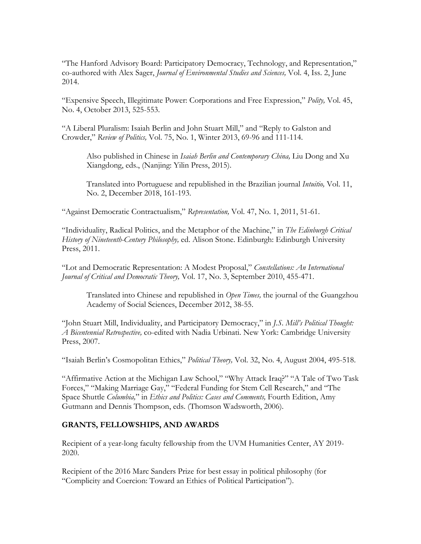"The Hanford Advisory Board: Participatory Democracy, Technology, and Representation," co-authored with Alex Sager, *Journal of Environmental Studies and Sciences,* Vol. 4, Iss. 2, June 2014.

"Expensive Speech, Illegitimate Power: Corporations and Free Expression," *Polity,* Vol. 45, No. 4, October 2013, 525-553.

"A Liberal Pluralism: Isaiah Berlin and John Stuart Mill," and "Reply to Galston and Crowder," *Review of Politics,* Vol. 75, No. 1, Winter 2013, 69-96 and 111-114.

Also published in Chinese in *Isaiah Berlin and Contemporary China,* Liu Dong and Xu Xiangdong, eds., (Nanjing: Yilin Press, 2015).

Translated into Portuguese and republished in the Brazilian journal *Intuitio,* Vol. 11, No. 2, December 2018, 161-193.

"Against Democratic Contractualism," *Representation,* Vol. 47, No. 1, 2011, 51-61.

"Individuality, Radical Politics, and the Metaphor of the Machine," in *The Edinburgh Critical History of Nineteenth-Century Philosophy,* ed. Alison Stone. Edinburgh: Edinburgh University Press, 2011.

"Lot and Democratic Representation: A Modest Proposal," *Constellations: An International Journal of Critical and Democratic Theory,* Vol. 17, No. 3, September 2010, 455-471.

 Translated into Chinese and republished in *Open Times,* the journal of the Guangzhou Academy of Social Sciences, December 2012, 38-55.

"John Stuart Mill, Individuality, and Participatory Democracy," in *J.S. Mill's Political Thought: A Bicentennial Retrospective,* co-edited with Nadia Urbinati. New York: Cambridge University Press, 2007.

"Isaiah Berlin's Cosmopolitan Ethics," *Political Theory,* Vol. 32, No. 4, August 2004, 495-518.

"Affirmative Action at the Michigan Law School," "Why Attack Iraq?" "A Tale of Two Task Forces," "Making Marriage Gay," "Federal Funding for Stem Cell Research," and "The Space Shuttle *Columbia,*" in *Ethics and Politics: Cases and Comments,* Fourth Edition, Amy Gutmann and Dennis Thompson, eds. (Thomson Wadsworth, 2006).

### **GRANTS, FELLOWSHIPS, AND AWARDS**

 Recipient of a year-long faculty fellowship from the UVM Humanities Center, AY 2019- 2020.

Recipient of the 2016 Marc Sanders Prize for best essay in political philosophy (for "Complicity and Coercion: Toward an Ethics of Political Participation").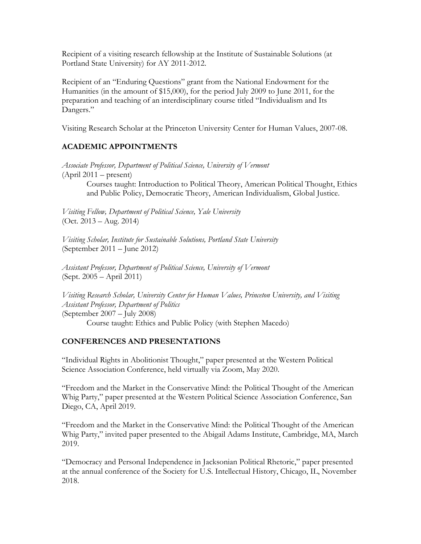Recipient of a visiting research fellowship at the Institute of Sustainable Solutions (at Portland State University) for AY 2011-2012.

Dangers." Recipient of an "Enduring Questions" grant from the National Endowment for the Humanities (in the amount of \$15,000), for the period July 2009 to June 2011, for the preparation and teaching of an interdisciplinary course titled "Individualism and Its

Visiting Research Scholar at the Princeton University Center for Human Values, 2007-08.

### **ACADEMIC APPOINTMENTS**

 (April 2011 – present) *Associate Professor, Department of Political Science, University of Vermont* 

> Courses taught: Introduction to Political Theory, American Political Thought, Ethics and Public Policy, Democratic Theory, American Individualism, Global Justice.

 (Oct. 2013 – Aug. 2014) *Visiting Fellow, Department of Political Science, Yale University* 

 (September 2011 – June 2012) *Visiting Scholar, Institute for Sustainable Solutions, Portland State University* 

 (Sept. 2005 – April 2011) *Assistant Professor, Department of Political Science, University of Vermont* 

 (September 2007 – July 2008) *Visiting Research Scholar, University Center for Human Values, Princeton University, and Visiting Assistant Professor, Department of Politics*  Course taught: Ethics and Public Policy (with Stephen Macedo)

### **CONFERENCES AND PRESENTATIONS**

 Science Association Conference, held virtually via Zoom, May 2020. "Individual Rights in Abolitionist Thought," paper presented at the Western Political

 "Freedom and the Market in the Conservative Mind: the Political Thought of the American Diego, CA, April 2019. Whig Party," paper presented at the Western Political Science Association Conference, San

2019. "Freedom and the Market in the Conservative Mind: the Political Thought of the American Whig Party," invited paper presented to the Abigail Adams Institute, Cambridge, MA, March

2019. "Democracy and Personal Independence in Jacksonian Political Rhetoric," paper presented at the annual conference of the Society for U.S. Intellectual History, Chicago, IL, November 2018.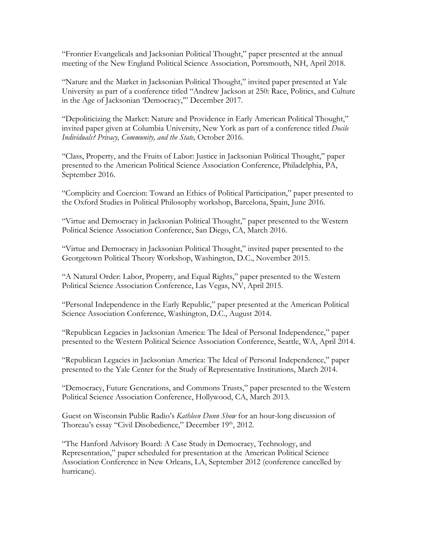"Frontier Evangelicals and Jacksonian Political Thought," paper presented at the annual meeting of the New England Political Science Association, Portsmouth, NH, April 2018.

"Nature and the Market in Jacksonian Political Thought," invited paper presented at Yale University as part of a conference titled "Andrew Jackson at 250: Race, Politics, and Culture in the Age of Jacksonian 'Democracy,'" December 2017.

"Depoliticizing the Market: Nature and Providence in Early American Political Thought," invited paper given at Columbia University, New York as part of a conference titled *Docile Individuals? Privacy, Community, and the State,* October 2016.

"Class, Property, and the Fruits of Labor: Justice in Jacksonian Political Thought," paper presented to the American Political Science Association Conference, Philadelphia, PA, September 2016.

"Complicity and Coercion: Toward an Ethics of Political Participation," paper presented to the Oxford Studies in Political Philosophy workshop, Barcelona, Spain, June 2016.

"Virtue and Democracy in Jacksonian Political Thought," paper presented to the Western Political Science Association Conference, San Diego, CA, March 2016.

"Virtue and Democracy in Jacksonian Political Thought," invited paper presented to the Georgetown Political Theory Workshop, Washington, D.C., November 2015.

"A Natural Order: Labor, Property, and Equal Rights," paper presented to the Western Political Science Association Conference, Las Vegas, NV, April 2015.

"Personal Independence in the Early Republic," paper presented at the American Political Science Association Conference, Washington, D.C., August 2014.

"Republican Legacies in Jacksonian America: The Ideal of Personal Independence," paper presented to the Western Political Science Association Conference, Seattle, WA, April 2014.

"Republican Legacies in Jacksonian America: The Ideal of Personal Independence," paper presented to the Yale Center for the Study of Representative Institutions, March 2014.

"Democracy, Future Generations, and Commons Trusts," paper presented to the Western Political Science Association Conference, Hollywood, CA, March 2013.

Guest on Wisconsin Public Radio's *Kathleen Dunn Show* for an hour-long discussion of Thoreau's essay "Civil Disobedience," December 19<sup>th</sup>, 2012.

"The Hanford Advisory Board: A Case Study in Democracy, Technology, and Representation," paper scheduled for presentation at the American Political Science Association Conference in New Orleans, LA, September 2012 (conference cancelled by hurricane).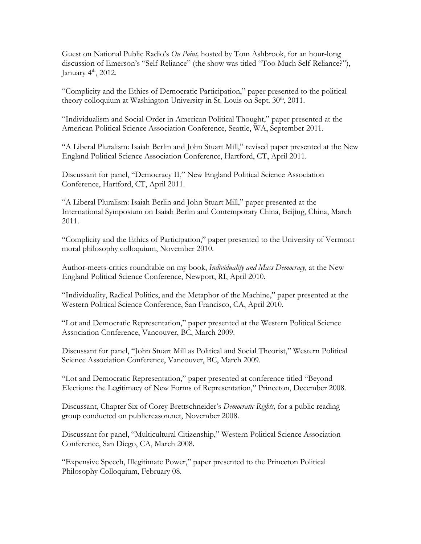Guest on National Public Radio's *On Point,* hosted by Tom Ashbrook, for an hour-long discussion of Emerson's "Self-Reliance" (the show was titled "Too Much Self-Reliance?"), January  $4<sup>th</sup>$ , 2012.

"Complicity and the Ethics of Democratic Participation," paper presented to the political theory colloquium at Washington University in St. Louis on Sept. 30<sup>th</sup>, 2011.

"Individualism and Social Order in American Political Thought," paper presented at the American Political Science Association Conference, Seattle, WA, September 2011.

"A Liberal Pluralism: Isaiah Berlin and John Stuart Mill," revised paper presented at the New England Political Science Association Conference, Hartford, CT, April 2011.

Discussant for panel, "Democracy II," New England Political Science Association Conference, Hartford, CT, April 2011.

"A Liberal Pluralism: Isaiah Berlin and John Stuart Mill," paper presented at the International Symposium on Isaiah Berlin and Contemporary China, Beijing, China, March 2011.

"Complicity and the Ethics of Participation," paper presented to the University of Vermont moral philosophy colloquium, November 2010.

 Author-meets-critics roundtable on my book, *Individuality and Mass Democracy,* at the New England Political Science Conference, Newport, RI, April 2010.

"Individuality, Radical Politics, and the Metaphor of the Machine," paper presented at the Western Political Science Conference, San Francisco, CA, April 2010.

"Lot and Democratic Representation," paper presented at the Western Political Science Association Conference, Vancouver, BC, March 2009.

 Science Association Conference, Vancouver, BC, March 2009. Discussant for panel, "John Stuart Mill as Political and Social Theorist," Western Political

"Lot and Democratic Representation," paper presented at conference titled "Beyond Elections: the Legitimacy of New Forms of Representation," Princeton, December 2008.

Discussant, Chapter Six of Corey Brettschneider's *Democratic Rights,* for a public reading group conducted on [publicreason.net,](https://publicreason.net) November 2008.

Discussant for panel, "Multicultural Citizenship," Western Political Science Association Conference, San Diego, CA, March 2008.

"Expensive Speech, Illegitimate Power," paper presented to the Princeton Political Philosophy Colloquium, February 08.